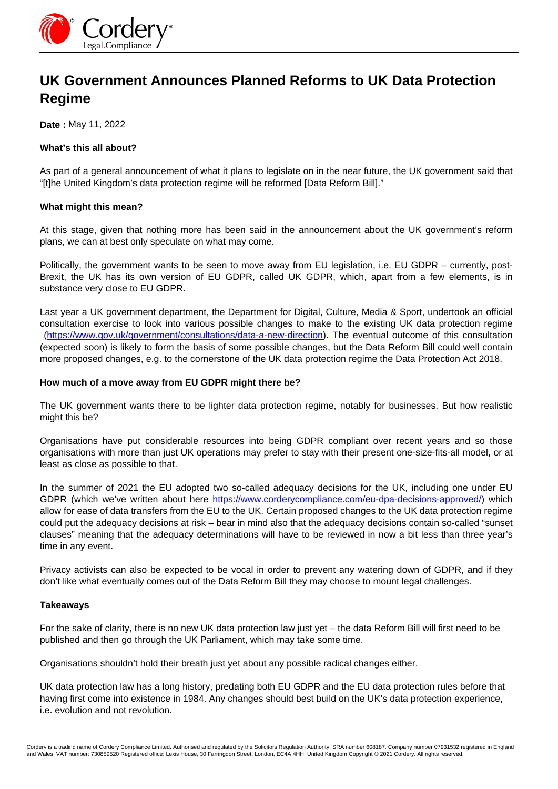

# **UK Government Announces Planned Reforms to UK Data Protection Regime**

**Date :** May 11, 2022

#### **What's this all about?**

As part of a general announcement of what it plans to legislate on in the near future, the UK government said that "[t]he United Kingdom's data protection regime will be reformed [Data Reform Bill]."

## **What might this mean?**

At this stage, given that nothing more has been said in the announcement about the UK government's reform plans, we can at best only speculate on what may come.

Politically, the government wants to be seen to move away from EU legislation, i.e. EU GDPR – currently, post-Brexit, the UK has its own version of EU GDPR, called UK GDPR, which, apart from a few elements, is in substance very close to EU GDPR.

Last year a UK government department, the Department for Digital, Culture, Media & Sport, undertook an official consultation exercise to look into various possible changes to make to the existing UK data protection regime [\(https://www.gov.uk/government/consultations/data-a-new-direction\)](https://www.gov.uk/government/consultations/data-a-new-direction). The eventual outcome of this consultation (expected soon) is likely to form the basis of some possible changes, but the Data Reform Bill could well contain more proposed changes, e.g. to the cornerstone of the UK data protection regime the Data Protection Act 2018.

## **How much of a move away from EU GDPR might there be?**

The UK government wants there to be lighter data protection regime, notably for businesses. But how realistic might this be?

Organisations have put considerable resources into being GDPR compliant over recent years and so those organisations with more than just UK operations may prefer to stay with their present one-size-fits-all model, or at least as close as possible to that.

In the summer of 2021 the EU adopted two so-called adequacy decisions for the UK, including one under EU GDPR (which we've written about here https://www.corderycompliance.com/eu-dpa-decisions-approved/) which allow for ease of data transfers from the EU to the UK. Certain proposed changes to the UK data protection regime could put the adequacy decisions at risk – bear in mind also that the adequacy decisions contain so-called "sunset clauses" meaning that the adequacy determinations will have to be reviewed in now a bit less than three year's time in any event.

Privacy activists can also be expected to be vocal in order to prevent any watering down of GDPR, and if they don't like what eventually comes out of the Data Reform Bill they may choose to mount legal challenges.

#### **Takeaways**

For the sake of clarity, there is no new UK data protection law just yet – the data Reform Bill will first need to be published and then go through the UK Parliament, which may take some time.

Organisations shouldn't hold their breath just yet about any possible radical changes either.

UK data protection law has a long history, predating both EU GDPR and the EU data protection rules before that having first come into existence in 1984. Any changes should best build on the UK's data protection experience, i.e. evolution and not revolution.